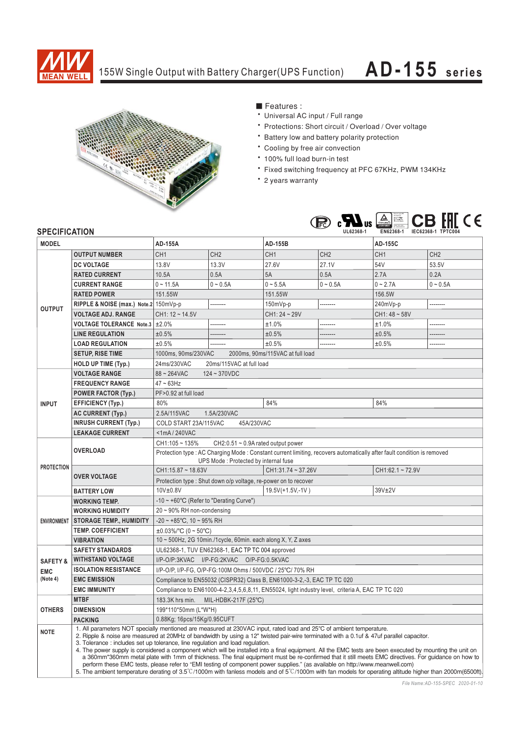

## 155W Single Output with Battery Charger(UPS Function)

## **AD-155 series**



■ Features :

- Universal AC input / Full range
- \* Protections: Short circuit / Overload / Over voltage
- \* Battery low and battery polarity protection
- \* Cooling by free air convection
- \* 100% full load burn-in test
- \* Fixed switching frequency at PFC 67KHz, PWM 134KHz
- \* 2 years warranty



## **SPECIFICATION**

| UL LUII IUMI IUN    |                                                                                                                                                                                                                                                                                                                                                                                                                                                                                                                                                                                                                                                                                                                                                                                                                                                                                                                                                                    |                                                                                                                         |                 |                  |                 |                   |                 |
|---------------------|--------------------------------------------------------------------------------------------------------------------------------------------------------------------------------------------------------------------------------------------------------------------------------------------------------------------------------------------------------------------------------------------------------------------------------------------------------------------------------------------------------------------------------------------------------------------------------------------------------------------------------------------------------------------------------------------------------------------------------------------------------------------------------------------------------------------------------------------------------------------------------------------------------------------------------------------------------------------|-------------------------------------------------------------------------------------------------------------------------|-----------------|------------------|-----------------|-------------------|-----------------|
| <b>MODEL</b>        |                                                                                                                                                                                                                                                                                                                                                                                                                                                                                                                                                                                                                                                                                                                                                                                                                                                                                                                                                                    | AD-155A                                                                                                                 |                 | AD-155B          |                 | <b>AD-155C</b>    |                 |
| <b>OUTPUT</b>       | <b>OUTPUT NUMBER</b>                                                                                                                                                                                                                                                                                                                                                                                                                                                                                                                                                                                                                                                                                                                                                                                                                                                                                                                                               | CH <sub>1</sub>                                                                                                         | CH <sub>2</sub> | CH <sub>1</sub>  | CH <sub>2</sub> | CH <sub>1</sub>   | CH <sub>2</sub> |
|                     | <b>DC VOLTAGE</b>                                                                                                                                                                                                                                                                                                                                                                                                                                                                                                                                                                                                                                                                                                                                                                                                                                                                                                                                                  | 13.8V                                                                                                                   | 13.3V           | 27.6V            | 27.1V           | 54V               | 53.5V           |
|                     | <b>RATED CURRENT</b>                                                                                                                                                                                                                                                                                                                                                                                                                                                                                                                                                                                                                                                                                                                                                                                                                                                                                                                                               | 10.5A                                                                                                                   | 0.5A            | 5A               | 0.5A            | 2.7A              | 0.2A            |
|                     | <b>CURRENT RANGE</b>                                                                                                                                                                                                                                                                                                                                                                                                                                                                                                                                                                                                                                                                                                                                                                                                                                                                                                                                               | $0 \sim 11.5A$                                                                                                          | $0 - 0.5A$      | $0 - 5.5A$       | $0 - 0.5A$      | $0 - 2.7A$        | $0 - 0.5A$      |
|                     | <b>RATED POWER</b>                                                                                                                                                                                                                                                                                                                                                                                                                                                                                                                                                                                                                                                                                                                                                                                                                                                                                                                                                 | 151.55W                                                                                                                 |                 | 151.55W          |                 | 156.5W            |                 |
|                     | RIPPLE & NOISE (max.) Note.2 150mVp-p                                                                                                                                                                                                                                                                                                                                                                                                                                                                                                                                                                                                                                                                                                                                                                                                                                                                                                                              |                                                                                                                         | --------        | 150mVp-p         | .               | 240mVp-p          | --------        |
|                     | <b>VOLTAGE ADJ. RANGE</b>                                                                                                                                                                                                                                                                                                                                                                                                                                                                                                                                                                                                                                                                                                                                                                                                                                                                                                                                          | $CH1: 12 - 14.5V$                                                                                                       |                 | $CH1:24 - 29V$   |                 | $CH1:48 \sim 58V$ |                 |
|                     | <b>VOLTAGE TOLERANCE Note.3</b>                                                                                                                                                                                                                                                                                                                                                                                                                                                                                                                                                                                                                                                                                                                                                                                                                                                                                                                                    | ±2.0%                                                                                                                   | ---------       | ±1.0%            | --------        | ±1.0%             | --------        |
|                     | <b>LINE REGULATION</b>                                                                                                                                                                                                                                                                                                                                                                                                                                                                                                                                                                                                                                                                                                                                                                                                                                                                                                                                             | ±0.5%                                                                                                                   |                 | ±0.5%            | .               | ±0.5%             | ---------       |
|                     | <b>LOAD REGULATION</b>                                                                                                                                                                                                                                                                                                                                                                                                                                                                                                                                                                                                                                                                                                                                                                                                                                                                                                                                             | ±0.5%                                                                                                                   |                 | ±0.5%            | .               | ±0.5%             | .               |
|                     | <b>SETUP, RISE TIME</b>                                                                                                                                                                                                                                                                                                                                                                                                                                                                                                                                                                                                                                                                                                                                                                                                                                                                                                                                            | 2000ms, 90ms/115VAC at full load<br>1000ms, 90ms/230VAC                                                                 |                 |                  |                 |                   |                 |
|                     | <b>HOLD UP TIME (Typ.)</b>                                                                                                                                                                                                                                                                                                                                                                                                                                                                                                                                                                                                                                                                                                                                                                                                                                                                                                                                         | 24ms/230VAC<br>20ms/115VAC at full load                                                                                 |                 |                  |                 |                   |                 |
| <b>INPUT</b>        | <b>VOLTAGE RANGE</b>                                                                                                                                                                                                                                                                                                                                                                                                                                                                                                                                                                                                                                                                                                                                                                                                                                                                                                                                               | $88 - 264$ VAC<br>$124 - 370VDC$                                                                                        |                 |                  |                 |                   |                 |
|                     | <b>FREQUENCY RANGE</b>                                                                                                                                                                                                                                                                                                                                                                                                                                                                                                                                                                                                                                                                                                                                                                                                                                                                                                                                             | $47 \sim 63$ Hz                                                                                                         |                 |                  |                 |                   |                 |
|                     | <b>POWER FACTOR (Typ.)</b>                                                                                                                                                                                                                                                                                                                                                                                                                                                                                                                                                                                                                                                                                                                                                                                                                                                                                                                                         | PF>0.92 at full load                                                                                                    |                 |                  |                 |                   |                 |
|                     | <b>EFFICIENCY (Typ.)</b>                                                                                                                                                                                                                                                                                                                                                                                                                                                                                                                                                                                                                                                                                                                                                                                                                                                                                                                                           | 80%                                                                                                                     |                 | 84%              | 84%             |                   |                 |
|                     | <b>AC CURRENT (Typ.)</b>                                                                                                                                                                                                                                                                                                                                                                                                                                                                                                                                                                                                                                                                                                                                                                                                                                                                                                                                           | 2.5A/115VAC<br>1.5A/230VAC                                                                                              |                 |                  |                 |                   |                 |
|                     | <b>INRUSH CURRENT (Typ.)</b>                                                                                                                                                                                                                                                                                                                                                                                                                                                                                                                                                                                                                                                                                                                                                                                                                                                                                                                                       | 45A/230VAC<br>COLD START 23A/115VAC                                                                                     |                 |                  |                 |                   |                 |
|                     | <b>LEAKAGE CURRENT</b>                                                                                                                                                                                                                                                                                                                                                                                                                                                                                                                                                                                                                                                                                                                                                                                                                                                                                                                                             | $<$ 1mA $/$ 240VAC                                                                                                      |                 |                  |                 |                   |                 |
| <b>PROTECTION</b>   | <b>OVERLOAD</b>                                                                                                                                                                                                                                                                                                                                                                                                                                                                                                                                                                                                                                                                                                                                                                                                                                                                                                                                                    | $CH1:105 - 135%$<br>$CH2:0.51 \sim 0.9$ A rated output power                                                            |                 |                  |                 |                   |                 |
|                     |                                                                                                                                                                                                                                                                                                                                                                                                                                                                                                                                                                                                                                                                                                                                                                                                                                                                                                                                                                    | Protection type : AC Charging Mode : Constant current limiting, recovers automatically after fault condition is removed |                 |                  |                 |                   |                 |
|                     |                                                                                                                                                                                                                                                                                                                                                                                                                                                                                                                                                                                                                                                                                                                                                                                                                                                                                                                                                                    | UPS Mode: Protected by internal fuse                                                                                    |                 |                  |                 |                   |                 |
|                     | <b>OVER VOLTAGE</b>                                                                                                                                                                                                                                                                                                                                                                                                                                                                                                                                                                                                                                                                                                                                                                                                                                                                                                                                                | CH1:15.87 ~ 18.63V                                                                                                      |                 | CH1:31.74~37.26V |                 | CH1:62.1~72.9V    |                 |
|                     |                                                                                                                                                                                                                                                                                                                                                                                                                                                                                                                                                                                                                                                                                                                                                                                                                                                                                                                                                                    | Protection type : Shut down o/p voltage, re-power on to recover                                                         |                 |                  |                 |                   |                 |
|                     | <b>BATTERY LOW</b>                                                                                                                                                                                                                                                                                                                                                                                                                                                                                                                                                                                                                                                                                                                                                                                                                                                                                                                                                 | 10V±0.8V                                                                                                                |                 | 19.5V(+1.5V,-1V) |                 | 39V±2V            |                 |
| <b>ENVIRONMENT</b>  | <b>WORKING TEMP.</b>                                                                                                                                                                                                                                                                                                                                                                                                                                                                                                                                                                                                                                                                                                                                                                                                                                                                                                                                               | -10 $\sim$ +60°C (Refer to "Derating Curve")                                                                            |                 |                  |                 |                   |                 |
|                     | <b>WORKING HUMIDITY</b>                                                                                                                                                                                                                                                                                                                                                                                                                                                                                                                                                                                                                                                                                                                                                                                                                                                                                                                                            | $20 \sim 90\%$ RH non-condensing                                                                                        |                 |                  |                 |                   |                 |
|                     | <b>STORAGE TEMP., HUMIDITY</b>                                                                                                                                                                                                                                                                                                                                                                                                                                                                                                                                                                                                                                                                                                                                                                                                                                                                                                                                     | $-20 \sim +85^{\circ}$ C, 10 ~ 95% RH                                                                                   |                 |                  |                 |                   |                 |
|                     | <b>TEMP. COEFFICIENT</b>                                                                                                                                                                                                                                                                                                                                                                                                                                                                                                                                                                                                                                                                                                                                                                                                                                                                                                                                           | $\pm 0.03\%$ /°C (0 ~ 50°C)                                                                                             |                 |                  |                 |                   |                 |
|                     | <b>VIBRATION</b>                                                                                                                                                                                                                                                                                                                                                                                                                                                                                                                                                                                                                                                                                                                                                                                                                                                                                                                                                   | 10 ~ 500Hz, 2G 10min./1cycle, 60min. each along X, Y, Z axes                                                            |                 |                  |                 |                   |                 |
| <b>SAFETY &amp;</b> | <b>SAFETY STANDARDS</b>                                                                                                                                                                                                                                                                                                                                                                                                                                                                                                                                                                                                                                                                                                                                                                                                                                                                                                                                            | UL62368-1, TUV EN62368-1, EAC TP TC 004 approved                                                                        |                 |                  |                 |                   |                 |
|                     | <b>WITHSTAND VOLTAGE</b>                                                                                                                                                                                                                                                                                                                                                                                                                                                                                                                                                                                                                                                                                                                                                                                                                                                                                                                                           | I/P-O/P:3KVAC I/P-FG:2KVAC O/P-FG:0.5KVAC                                                                               |                 |                  |                 |                   |                 |
| <b>EMC</b>          | <b>ISOLATION RESISTANCE</b>                                                                                                                                                                                                                                                                                                                                                                                                                                                                                                                                                                                                                                                                                                                                                                                                                                                                                                                                        | I/P-O/P, I/P-FG, O/P-FG:100M Ohms / 500VDC / 25°C/ 70% RH                                                               |                 |                  |                 |                   |                 |
| (Note 4)            | <b>EMC EMISSION</b>                                                                                                                                                                                                                                                                                                                                                                                                                                                                                                                                                                                                                                                                                                                                                                                                                                                                                                                                                | Compliance to EN55032 (CISPR32) Class B, EN61000-3-2,-3, EAC TP TC 020                                                  |                 |                  |                 |                   |                 |
|                     | <b>EMC IMMUNITY</b>                                                                                                                                                                                                                                                                                                                                                                                                                                                                                                                                                                                                                                                                                                                                                                                                                                                                                                                                                | Compliance to EN61000-4-2,3,4,5,6,8,11, EN55024, light industry level, criteria A, EAC TP TC 020                        |                 |                  |                 |                   |                 |
| <b>OTHERS</b>       | <b>MTBF</b>                                                                                                                                                                                                                                                                                                                                                                                                                                                                                                                                                                                                                                                                                                                                                                                                                                                                                                                                                        | 183.3K hrs min.<br>MIL-HDBK-217F (25°C)                                                                                 |                 |                  |                 |                   |                 |
|                     | <b>DIMENSION</b>                                                                                                                                                                                                                                                                                                                                                                                                                                                                                                                                                                                                                                                                                                                                                                                                                                                                                                                                                   | 199*110*50mm (L*W*H)                                                                                                    |                 |                  |                 |                   |                 |
|                     | <b>PACKING</b>                                                                                                                                                                                                                                                                                                                                                                                                                                                                                                                                                                                                                                                                                                                                                                                                                                                                                                                                                     | 0.88Kg; 16pcs/15Kg/0.95CUFT                                                                                             |                 |                  |                 |                   |                 |
| <b>NOTE</b>         | 1. All parameters NOT specially mentioned are measured at 230VAC input, rated load and 25°C of ambient temperature.<br>2. Ripple & noise are measured at 20MHz of bandwidth by using a 12" twisted pair-wire terminated with a 0.1uf & 47uf parallel capacitor.<br>3. Tolerance: includes set up tolerance, line regulation and load regulation.<br>4. The power supply is considered a component which will be installed into a final equipment. All the EMC tests are been executed by mounting the unit on<br>a 360mm*360mm metal plate with 1mm of thickness. The final equipment must be re-confirmed that it still meets EMC directives. For guidance on how to<br>perform these EMC tests, please refer to "EMI testing of component power supplies." (as available on http://www.meanwell.com)<br>5. The ambient temperature derating of 3.5°C/1000m with fanless models and of 5°C/1000m with fan models for operating altitude higher than 2000m(6500ft) |                                                                                                                         |                 |                  |                 |                   |                 |